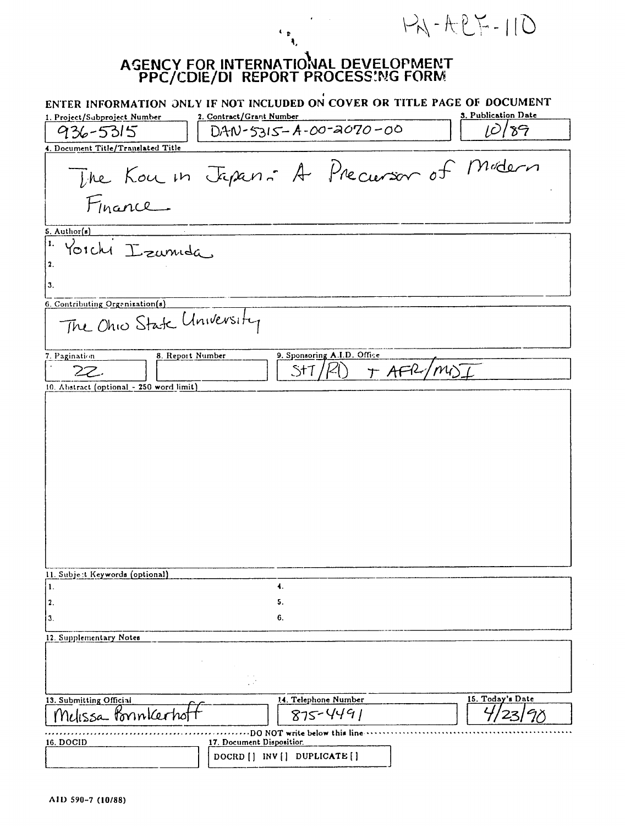## AGENCY FOR INTERNATIOIAL DEVELOPMENT **PPC/CDIE/DI** REPORT **PROCESS'.NG** FORM

 $\begin{array}{c} \psi_{\mathfrak{p}} \\ \mathfrak{q}_i \end{array}$ 

 $PA - AEP - 110$ 

| 1. Project/Subproject Number             | ENTER INFORMATION ONLY IF NOT INCLUDED ON COVER OR TITLE PAGE OF DOCUMENT<br>2. Contract/Grant Number | 3. Publication Date |
|------------------------------------------|-------------------------------------------------------------------------------------------------------|---------------------|
| 936-5315                                 | $DAW-5315 - A-00-2070-00$                                                                             | 89                  |
| 4. Document Title/Translated Title       |                                                                                                       |                     |
|                                          | The Kou in Jepan : A Precursor of Modern                                                              |                     |
| 5. Author(s)                             |                                                                                                       |                     |
| 1.<br>Yorchi Izumida<br>2.               |                                                                                                       |                     |
| 3.                                       |                                                                                                       |                     |
| 6. Contributing Orgenization(s)          |                                                                                                       |                     |
| The Ohio State University                |                                                                                                       |                     |
| 8. Report Number<br>7. Pagination        | 9. Sponsoring A.I.D. Office                                                                           |                     |
| 22                                       | T AFR/MIS<br>St <sup>.</sup>                                                                          |                     |
| 10. Abstract (optional - 250 word limit) |                                                                                                       |                     |
|                                          |                                                                                                       |                     |
|                                          |                                                                                                       |                     |
|                                          |                                                                                                       |                     |
|                                          |                                                                                                       |                     |
|                                          |                                                                                                       |                     |
|                                          |                                                                                                       |                     |
|                                          |                                                                                                       |                     |
|                                          |                                                                                                       |                     |
|                                          |                                                                                                       |                     |
|                                          |                                                                                                       |                     |
|                                          |                                                                                                       |                     |
|                                          |                                                                                                       |                     |
| 11. Subject Keywords (optional)          |                                                                                                       |                     |
| 1.                                       | 4.                                                                                                    |                     |
| 2.                                       | 5.                                                                                                    |                     |
| 3.                                       | 6.                                                                                                    |                     |
| 12. Supplementary Notes                  |                                                                                                       |                     |
|                                          |                                                                                                       |                     |
|                                          |                                                                                                       |                     |
|                                          |                                                                                                       |                     |
| 13. Submitting Official                  | 14. Telephone Number                                                                                  | 15. Today's Date    |
| Nelissa Ponnkerhol                       | $875 - 4491$                                                                                          |                     |
|                                          |                                                                                                       |                     |
| 16. DOCID                                | DO NOT write below this line<br>17. Document Disposition.                                             |                     |
|                                          | DOCRD [] INV [] DUPLICATE []                                                                          |                     |
|                                          |                                                                                                       |                     |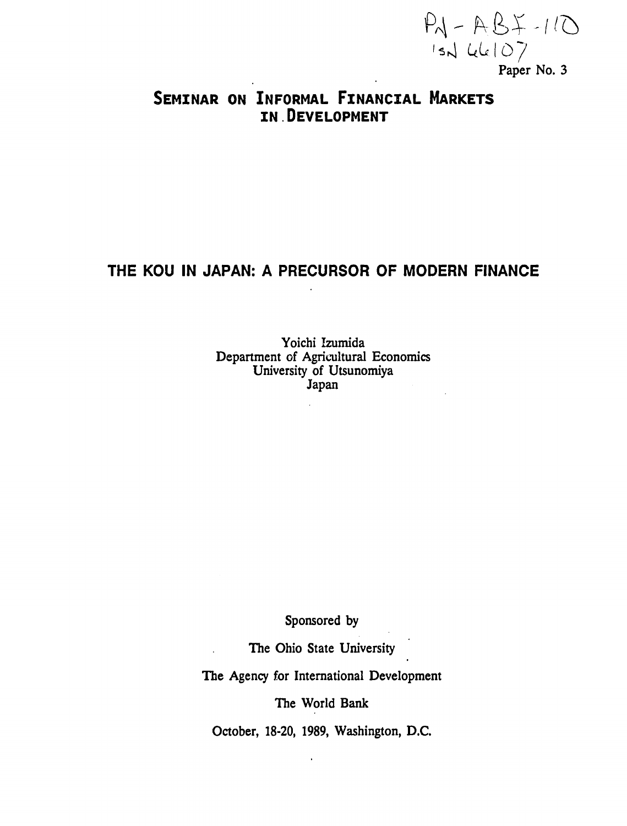$PM - AB \times -1/O$ <br>  $1sh$  44107<br> **Paper No. 3** 

# **SEMINAR ON INFORMAL FINANCIAL MARKETS IN DEVELOPMENT**

## THE **KOU IN JAPAN: A** PRECURSOR OF MODERN **FINANCE**

Yoichi Izumida Department of Agricultural Economics University of Utsunomiya Japan

Sponsored **by** 

The Ohio State University

The Agency for International Development

The World Bank

October, 18-20, 1989, Washington, D.C.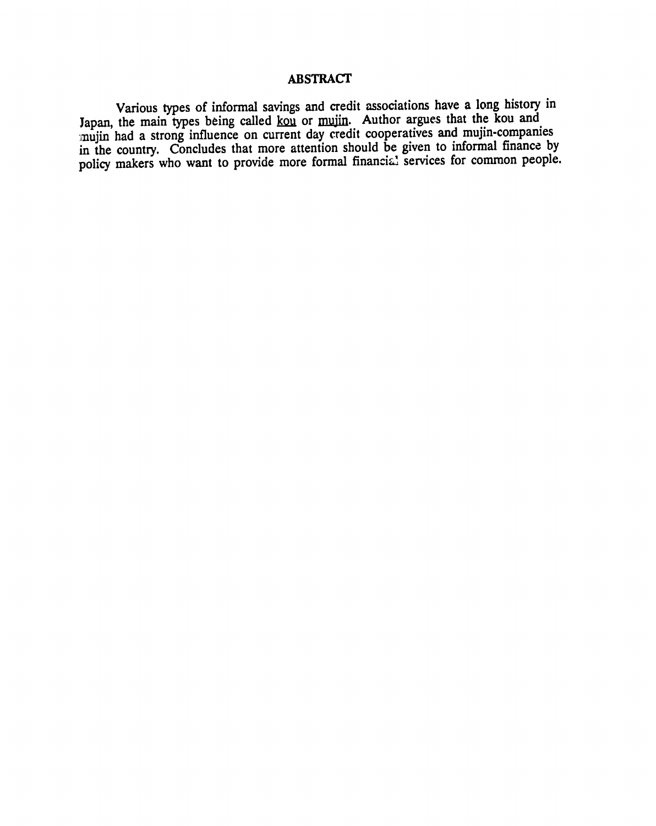## **ABSTRACT**

Various types of informal savings and credit associations have a long history in Japan, the main types being called <u>kou</u> or mujin. Author argues that the kou and mujin had a strong influence on current day credit cooperatives and mujin-companies in the country. Concludes that more attention should be given to informal finance **by**  policy makers who want to provide more formal financial services for common people.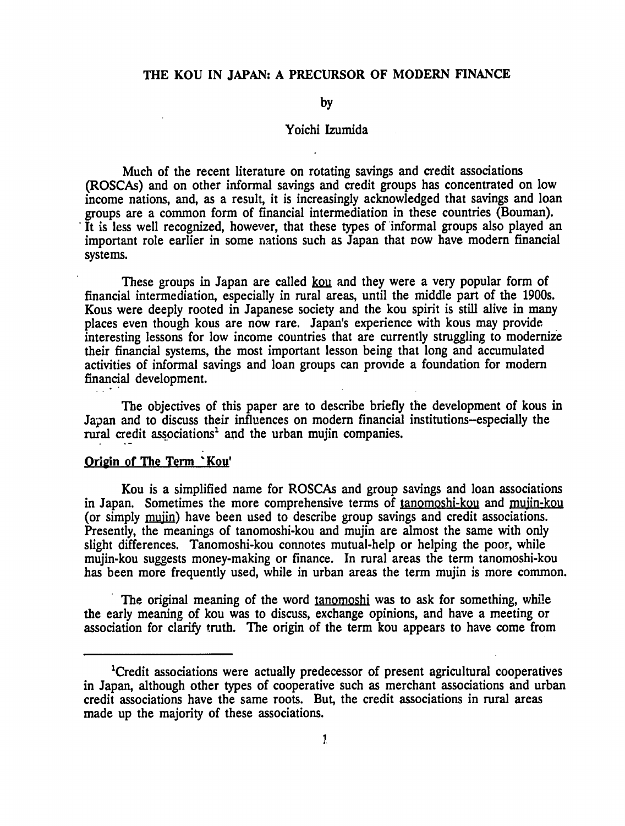## **THE KOU IN JAPAN: A PRECURSOR OF MODERN FINANCE**

#### **by**

## Yoichi Izumida

Much of the recent literature on rotating savings and credit associations (ROSCAs) and on other informal savings and credit groups has concentrated on low income nations, and, as a result, it is increasingly acknowledged that savings and loan groups are a common form of financial intermediation in these countries (Bouman). It is less well recognized, however, that these types of informal groups also played an important role earlier in some nations such as Japan that now have modem financial systems.

These groups in Japan are called kow and they were a very popular form of financial intermediation, especially in rural areas, until the middle part of the 1900s. Kous were deeply rooted in Japanese society and the kou spirit is still alive in many places even though kous are now rare. Japan's experience with kous may provide interesting lessons for low income countries that are currently struggling to modernize their financial systems, the most important lesson being that long and accumulated activities of informal savings and loan groups can provide a foundation for modem financial development.

The objectives of this paper are to describe briefly the development of kous in Japan and to discuss their influences on modem financial institutions-especially the rural credit associations' and the urban mujin companies.

### Origin of The Term 'Kou'

Kou is a simplified name for ROSCAs and group savings and loan associations in Japan. Sometimes the more comprehensive terms of tanomoshi-kou and mujin-kou (or simply mujin) have been used to describe group savings and credit associations. Presently, the meanings of tanomoshi-kou and mujin are almost the same with only slight differences. Tanomoshi-kou connotes mutual-help or helping the poor, while mujin-kou suggests money-making or finance. In rural areas the term tanomoshi-kou has been more frequently used, while in urban areas the term mujin is more common.

The original meaning of the word **tanomoshi** was to ask for something, while the early meaning of kou was to discuss, exchange opinions, and have a meeting or association for clarify truth. The origin of the term kou appears to have come from

<sup>&#</sup>x27;Credit associations were actually predecessor of present agricultural cooperatives in Japan, although other types of cooperative such as merchant associations and urban credit associations have the same roots. But, the credit associations in rural areas made up the majority of these associations.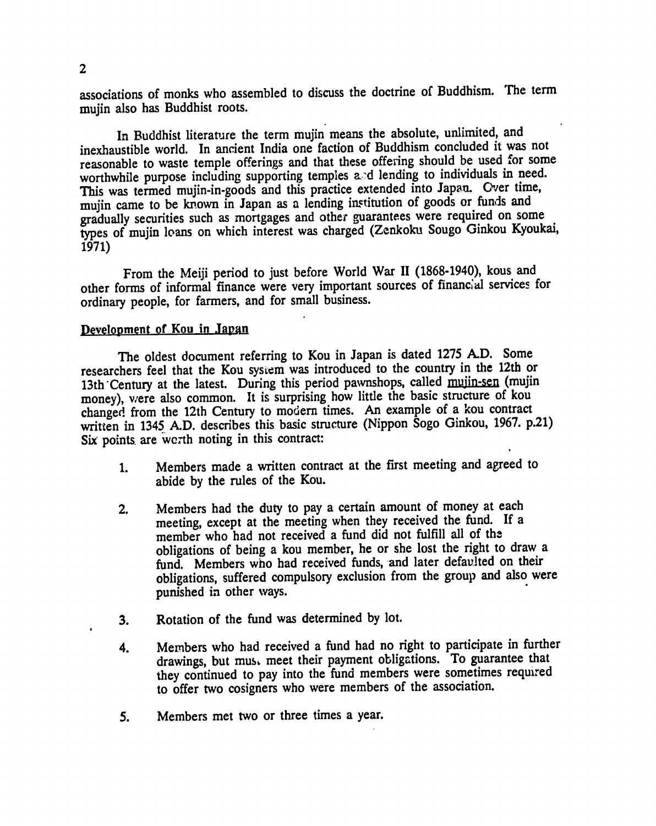associations of monks who assembled to discuss the doctrine of Buddhism. The term mujin also has Buddhist roots.

In Buddhist literature the term mujin means the absolute, unlimited, and inexhaustible world. In ancient India one faction of Buddhism concluded it was not reasonable to waste temple offerings and that these offering should be used for some worthwhile purpose including supporting temples a.'d lending to individuals in need. This was termed mujin-in-goods and this practice extended into Japan. Over time, mujin came to be known in Japan as a lending institution of goods or funds and gradually securities such as mortgages and other guarantees were required on some types of mujin loans on which interest was charged (Zenkoku Sougo Ginkou Kyoukai, 1971)

From the Meiji period to just before World War 11 (1868-1940), kous and other forms of informal finance were very important sources of financial services for ordinary people, for farmers, and for small business.

#### Development **of** Kou in Japain

The oldest document referring to Kou in Japan is dated **1275 A.D.** Some researchers feel that the Kou system was introduced to the country in the 12th or 13th'Century at the latest. During this period pawnshops, called **muiin-sen** (mujin money), were also common. It is surprising how little the basic structure of kou changed from the 12th Century to modern times. An example of a kou contract written in 1345 A.D. describes this basic structure (Nippon Sogo Ginkou, 1967. p.21) Six points are werth noting in this contract:

- 1. Members made a written contract at the first meeting and agreed to abide by the rules of the Kou.
- 2. Members had the duty to pay a certain amount of money at each meeting, except at the meeting when they received the fund. If a member who had not received a fund did not fulfill all of the obligations of being a kou member, he or she lost the right to draw a fund. Members who had received funds, and later defaulted on their obligations, suffered compulsory exclusion from the group and also were punished in other ways.
- 3. Rotation of the fund was determined by lot.
- 4. Members who had received a fund had no right to participate in further drawings, but mus, meet their payment obligations. To guarantee that they continued to pay into the fund members were sometimes requred to offer two cosigners who were members of the association.
- 5. Members met two or three times a year.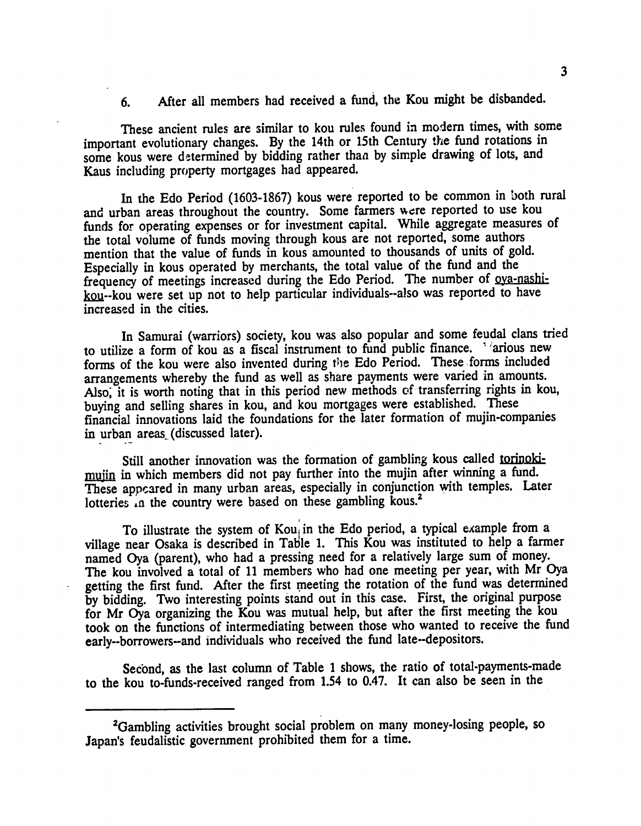**6.** After all members had received a fund, the Kou might be disbanded.

These ancient rules are similar to kou rules found in modern times, with some important evolutionary changes. **By** the 14th or 15th Century the fund rotations in some kous were determined by bidding rather than by simple drawing of lots, and Kaus including property mortgages had appeared.

In the Edo Period **(1603-1867)** kous were reported to be common in both rural and urban areas throughout the country. Some farmers were reported to use kou funds for operating expenses or for investment capital. While aggregate measures of the total volume of funds moving through kous are not reported, some authors mention that the value of funds in kous amounted to thousands of units of gold. Especially in kous operated **by** merchants, the total value of the fund and the frequency of meetings increased during the Edo Period. The number of **oya-nashi**kou--kou were set up not to help particular individuals--also was reported to have increased in the cities.

In Samurai (warriors) society, kou was also popular and some feudal clans tried to utilize a form of kou as a fiscal instrument to fund public finance. *Marious new* forms of the kou were also invented during *the* Edo Period. These forms included arrangements whereby the fund as well as share payments were varied in amounts. Also, it is worth noting that in this period new methods of transferring rights in kou, buying and selling shares in kou, and kou mortgages were established. These financial innovations laid the foundations for the later formation of mujin-companies in urban areas (discussed later).

Still another innovation was the formation of gambling kous called torinokimujin in which members did not pay further into the mujin after winning a fund. These appeared in many urban areas, especially in conjunction with temples. Later lotteries in the country were based on these gambling kous.<sup>2</sup>

To illustrate the system of  $Kou_i$  in the Edo period, a typical example from a village near Osaka is described in Table **1.** This Kou was instituted to help a farmer named Oya (parent), who had a pressing need for a relatively large sum of money. The kou involved a total of **11** members who had one meeting per year, with Mr Oya getting the first fund. After the first meeting the rotation of the fund was determined **by** bidding. Two interesting points stand out in this case. First, the original purpose for Mr Oya organizing the Kou was mutual help, but after the first meeting the kou took on the functions of intermediating between those who wanted to receive the fund early-borrowers-and individuals who received the fund late-depositors.

Second, as the last column of Table **1** shows, the ratio of total-payments-made to the kou to-funds-received ranged from 1.54 to 0.47. It can also be seen in the

<sup>&</sup>lt;sup>2</sup>Gambling activities brought social problem on many money-losing people, so Japan's feudalistic government prohibited them for a time.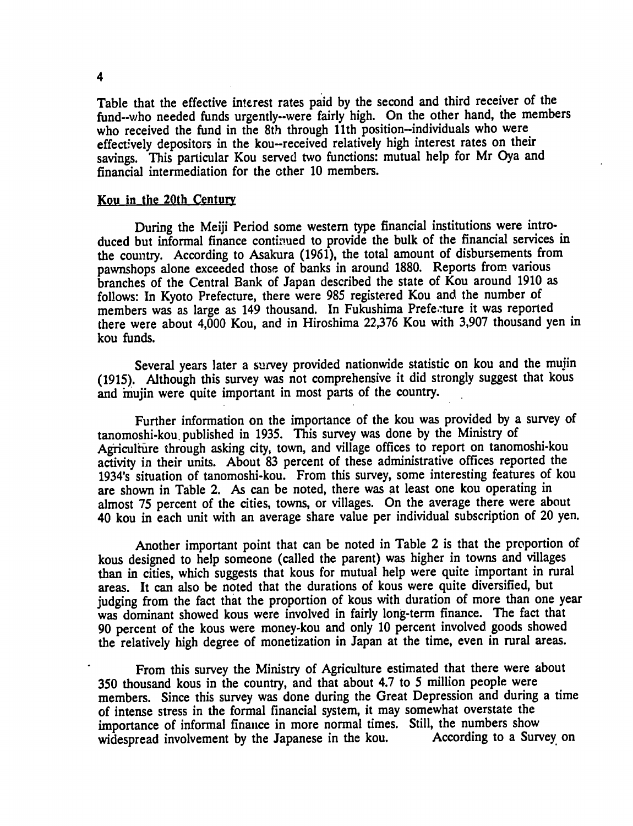Table that the effective interest rates paid **by** the second and third receiver of the fund--who needed funds urgently--were fairly high. On the other hand, the members who received the fund in the 8th through 11th position--individuals who were effectively depositors in the kou-received relatively high interest rates on their savings. This particular Kou served two functions: mutual help for Mr Oya and financial intermediation for the other **10** members.

#### Kou in the 20th Centur

During the Meiji Period some western type financial institutions were introduced but informal finance continued to provide the bulk of the financial services in the country. According to Asakura **(1961),** the total amount of disbursements from pawnshops alone exceeded those of banks in around **1880.** Reports from various branches of the Central Bank of Japan described the state of Kou around **1910** as follows: In Kyoto Prefecture, there were **985** registered Kou and the number of members was as large as 149 thousand. In Fukushima Prefe.ture it was reported there were about 4,000 Kou, and in Hiroshima **22,376** Kou with **3,907** thousand yen in kou funds.

Several years later a survey provided nationwide statistic on kou and the mujin **(1915).** Although this survey was not comprehensive it did strongly suggest that kous and mujin were quite important in most parts of the country.

Further information on the importance of the kou was provided **by** a survey of tanomoshi-kou. published in **1935.** This survey was done **by** the Ministry of Agriculture through asking city, town, and village offices to report on tanomoshi-kou activity in their units. About **83** percent of these administrative offices reported the 1934's situation of tanomoshi-kou. From this survey, some interesting features of kou are shown in Table 2. As can be noted, there was at least one kou operating in almost **75** percent of the cities, towns, or villages. On the average there were about 40 kou in each unit with an average share value per individual subscription of 20 yen.

Another important point that can be noted in Table 2 is that the proportion of kous designed to help someone (called the parent) was higher in towns and villages than in cities, which suggests that kous for mutual help were quite important in rural areas. It can also be noted that the durations of kous were quite diversified, but judging from the fact that the proportion of kous with duration of more than one year was dominant showed kous were involved in fairly long-term finance. The fact that **90** percent of the kous were money-kou and only **10** percent involved goods showed the relatively high degree of monetization in Japan at the time, even in rural areas.

From this survey the Ministry of Agriculture estimated that there were about **350** thousand kous in the country, and that about 4.7 to **5** million people were members. Since this survey was done during the Great Depression and during a time of intense stress in the formal financial system, it may somewhat overstate the importance of informal finance in more normal times. Still, the numbers show<br>widespread involvement by the Japanese in the kou. According to a Survey on widespread involvement by the Japanese in the kou.

4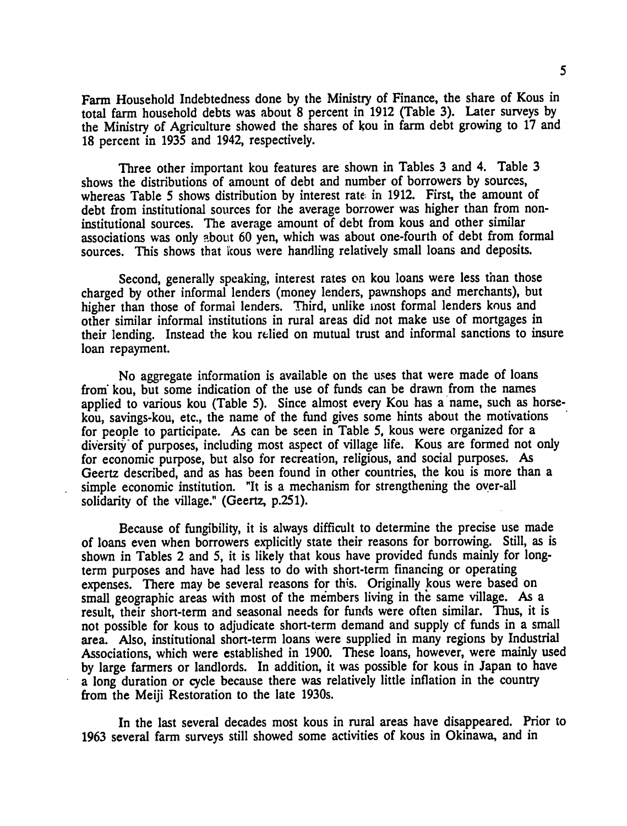Farm Household Indebtedness done **by** the Ministry of Finance, the share of Kous in total farm household debts was about **8** percent in **1912** (Table **3).** Later surveys **by**  the Ministry of Agriculture showed the shares of kou in farm debt growing to 17 and **18** percent in **1935** and 1942, respectively.

Three other important kou features are shown in Tables **3** and 4. Table **3**  shows the distributions of amount of debt and number of borrowers **by** sources, whereas Table **5** shows distribution **by** interest rate in **1912.** First, the amount of debt from institutional sources for the average borrower was higher than from noninstitutional sources. The average amount of debt from kous and other similar associations was only about **60** yen, which was about one-fourth of debt from formal sources. This shows that kous were handling relatively small loans and deposits.

Second, generally speaking, interest rates on kou loans were less than those charged **by** other informal lenders (money lenders, pawnshops and merchants), but higher than those of formal lenders. Third, unlike most formal lenders kous and other similar informal institutions in rural areas did not make use of mortgages in their lending. Instead the kou relied on mutual trust and informal sanctions to insure loan repayment.

No aggregate information is available on the uses that were made of loans **from"**kou, but some indication of the use of funds can be drawn from the names applied to various kou (Table **5).** Since almost every Kou has a name, such as horsekou, savings-kou, etc., the name of the fund gives some hints about the motivations for people to participate. As can be seen in Table *5,* kous were organized for a diversity of purposes, including most aspect of village life. Kous are formed not only for economic purpose, but also for recreation, religious, and social purposes. As Geertz described, and as has been found in other countries, the kou is more than a simple economic institution. "It is a mechanism for strengthening the over-all solidarity of the village." (Geertz, **p.25 1).** 

Because of fungibility, it is always difficult to determine the precise use made of loans even when borrowers explicitly state their reasons for borrowing. Still, as is shown in Tables 2 and **5,** it is likely that kous have provided funds mainly for longterm purposes and have had less to do with short-term financing or operating expenses. There may be several reasons for this. Originally kous were based on small geographic areas with most of the members living in the same village. As a result, their short-term and seasonal needs for funds were often similar. Thus, it is not possible for kous to adjudicate short-term demand and supply **cf** funds in a small area. Also, institutional short-term loans were supplied in many regions **by** Industrial Associations, which were established in **1900.** These loans, however, were mainly used **by** large farmers or landlords. In addition, it was possible for kous in Japan to have a long duration or cycle because there was relatively little inflation in the country from the Meiji Restoration to the late 1930s.

In the last several decades most kous in rural areas have disappeared. Prior to **1963** several farm surveys still showed some activities of kous in Okinawa, and in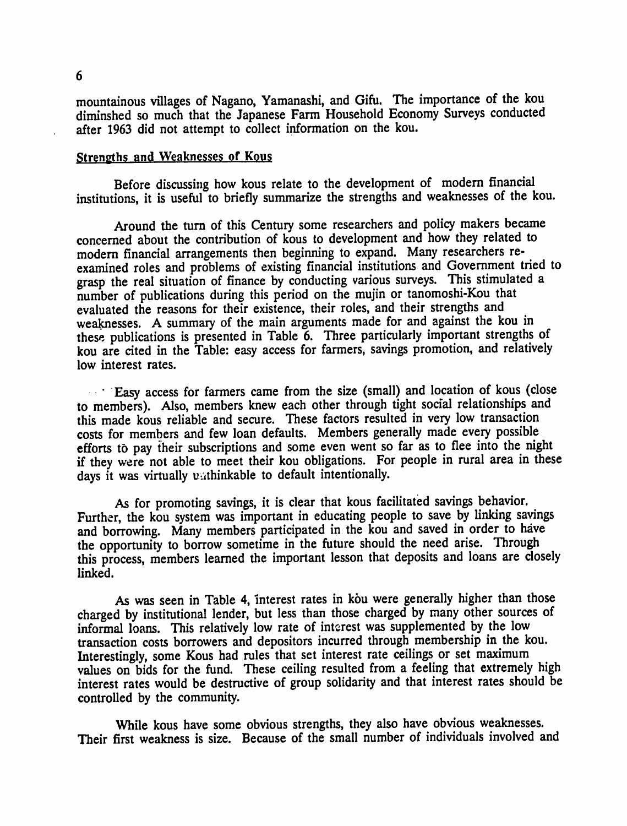mountainous villages of Nagano, Yamanashi, and Gifu. The importance of the kou diminshed so much that the Japanese Farm Household Economy Surveys conducted after **1963** did not attempt to collect information on the kou.

#### Strenpths and Weaknesses **of** Kous

Before discussing how kous relate to the development of modem financial institutions, it is useful to briefly summarize the strengths and weaknesses of the kou.

Around the turn of this Century some researchers and policy makers became concerned about the contribution of kous to development and how they related to modern financial arrangements then beginning to expand. Many researchers reexamined roles and problems of existing financial institutions and Government tried to grasp the real situation of finance **by** conducting various surveys. This stimulated a number of publications during this period on the mujin or tanomoshi-Kou that evaluated the reasons for their existence, their roles, and their strengths and weaknesses. A summary of the main arguments made for and against the kou in these publications is presented in Table 6. Three particularly important strengths of kou are cited in the Table: easy access for farmers, savings promotion, and relatively low interest rates.

**Easy access for farmers came from the size (small) and location of kous (close** to members). Also, members knew each other through tight social relationships and this made kous reliable and secure. These factors resulted in very low transaction costs for members and few loan defaults. Members generally made every possible efforts to pay their subscriptions and some even went so far as to flee into the night if they were not able to meet their kou obligations. For people in rural area in these days it was virtually unthinkable to default intentionally.

As for promoting savings, it is clear that kous facilitated savings behavior. Further, the kou system was important in educating people to save by linking savings and borrowing. Many members participated in the kou and saved in order to have the opportunity to borrow sometime in the future should the need arise. Through this process, members learned the important lesson that deposits and loans are closely linked.

As was seen in Table 4, interest rates in kou were generally higher than those charged by institutional lender, but less than those charged by many other sources of informal loans. This relatively low rate of interest was supplemented by the low transaction costs borrowers and depositors incurred through membership in the kou. Interestingly, some Kous had rules that set interest rate ceilings or set maximum values on bids for the fund. These ceiling resulted from a feeling that extremely high interest rates would be destructive of group solidarity and that interest rates should be controlled by the community.

While kous have some obvious strengths, they also have obvious weaknesses. Their first weakness is size. Because of the small number of individuals involved and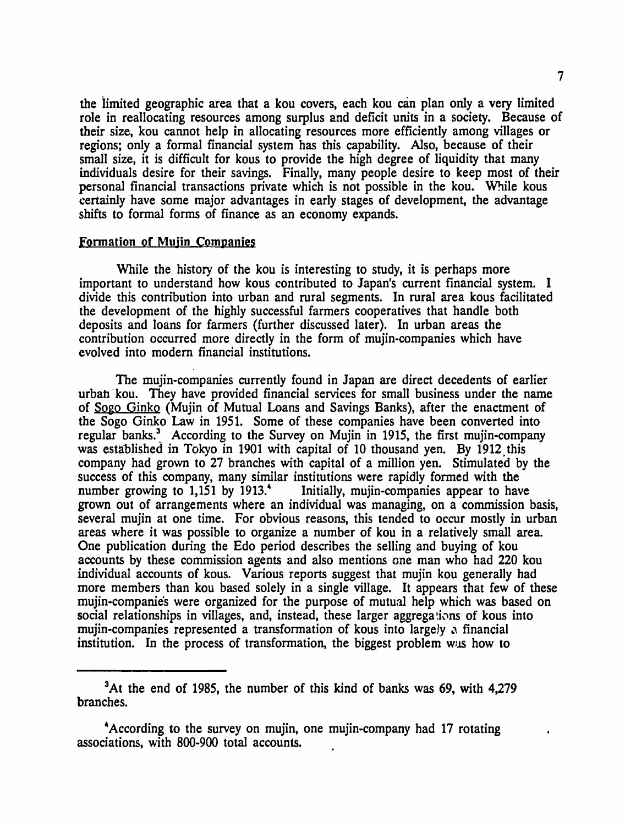the limited geographic area that a kou covers, each kou can plan only a very limited role in reallocating resources among surplus and deficit units in a society. Because of their size, kou cannot help in allocating resources more efficiently among villages or regions; only a formal financial system has this capability. Also, because of their small size, it is difficult for kous to provide the high degree of liquidity that many individuals desire for their savings. Finally, many people desire to keep most of their personal financial transactions private which is not possible in the kou. While kous certainly have some major advantages in early stages of development, the advantage shifts to formal forms of finance as an economy expands.

#### Formation **of** Muiin Companies

While the history of the kou is interesting to study, it is perhaps more important to understand how kous contributed to Japan's current financial system. **I**  divide this contribution into urban and rural segments. In rural area kous facilitated the development of the **highly** successful farmers cooperatives that handle both deposits and loans for farmers (further discussed later). In urban areas the contribution occurred more directly in the form of mujin-companies which have evolved into modern financial institutions.

The mujin-companies currently found in Japan are direct decedents of earlier urbah kou. They have provided financial services for small business under the name of **Sogo Ginko** (Mujin of Mutual Loans and Savings Banks), after the enactment of the Sogo Ginko Law in **1951.** Some of these companies have been converted into regular banks.3 According to the Survey on Mujin in **1915,** the first mujin-company was established in Tokyo in **1901** with capital of **10** thousand yen. **By** 1912 this company had grown to **27** branches with capital of a million yen. Stimulated **by** the success of this company, many similar institutions were rapidly formed with the number growing to 1,151 by 1913.<sup>4</sup> Initially, mujin-companies appear to have grown out of arrangements where an individual was managing, on a commission basis, several mujin at one time. For obvious reasons, this tended to occur mostly in urban areas where it was possible to organize a number of kou in a relatively small area. One publication during the Edo period describes the selling and buying of kou accounts **by** these commission agents and also mentions one man who had 220 kou individual accounts of kous. Various reports suggest that mujin kou generally had more members than kou based solely in a single village. It appears that few of these mujin-companies were organized for the purpose of mutual help which was based on social relationships in villages, and, instead, these larger aggregations of kous into mujin-companies represented a transformation of kous into largely **.1** financial institution. In the process of transformation, the biggest problem was how to

<sup>3</sup>At the end of **1985,** the number of this kind of banks was **69,** with 4,279 branches.

<sup>&#</sup>x27;According to the survey on mujin, one mujin-company had **17** rotating associations, with **800-900** total accounts.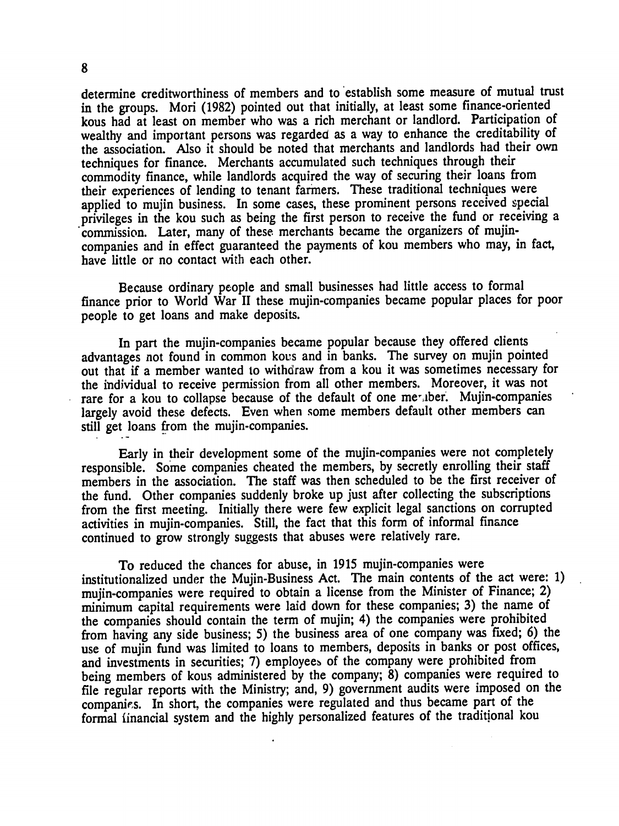determine creditworthiness of members and to 'establish some measure of mutual trust in the groups. **Mori (1982)** pointed out that initially, at least some finance-oriented kous had at least on member who was a rich merchant or landlord. Participation of wealthy and important persons was regarded as a way to enhance the creditability of the association. Also it should be noted that merchants and landlords had their own techniques for finance. Merchants accumulated such techniques through their commodity finance, while landlords acquired the way of securing their loans from their experiences of lending to tenant farmers. These traditional techniques were applied to mujin business. In some cases, these prominent persons received special privileges in the kou such as being the first person to receive the fund or receiving a commission. Later, many of these merchants became the organizers of mujincompanies and in effect guaranteed the payments of kou members who may, in fact, have little or no contact with each other.

Because ordinary people and small businesses had little access to formal finance prior to World War II these mujin-companies became popular places for poor people to get loans and make deposits.

In part the mujin-companies became popular because they offered clients advantages not found in common kous and in banks. The survey on mujin pointed out that if a member wanted to withdraw from a kou it was sometimes necessary for the individual to receive permission from all other members. Moreover, it was not rare for a kou to collapse because of the default of one meriber. Mujin-companies largely avoid these defects. Even when some members default other members can still get loans from the mujin-companies.

Early in their development some of the mujin-companies were not completely responsible. Some companies cheated the members, by secretly enrolling their staff members in the association. The staff was then scheduled to be the first receiver of the fund. Other companies suddenly broke up just after collecting the subscriptions from the first meeting. Initially there were few explicit legal sanctions on corrupted activities in mujin-companies. Still, the fact that this form of informal finance continued to grow strongly suggests that abuses were relatively rare.

To reduced the chances for abuse, in 1915 mujin-companies were institutionalized under the Mujin-Business Act. The main contents of the act were: 1) mujin-companies were required to obtain a license from the Minister of Finance; 2) minimum capital requirements were laid down for these companies; 3) the name of the companies should contain the term of mujin; 4) the companies were prohibited from having any side business; 5) the business area of one company was fixed; 6) the use of mujin fund was limited to loans to members, deposits in banks or post offices, and investments in securities; 7) employees of the company were prohibited from being members of kous administered by the company; 8) companies were required to file regular reports with the Ministry; and, **9)** government audits were imposed on the companies. In short, the companies were regulated and thus became part of the formal financial system and the highly personalized features of the traditional kou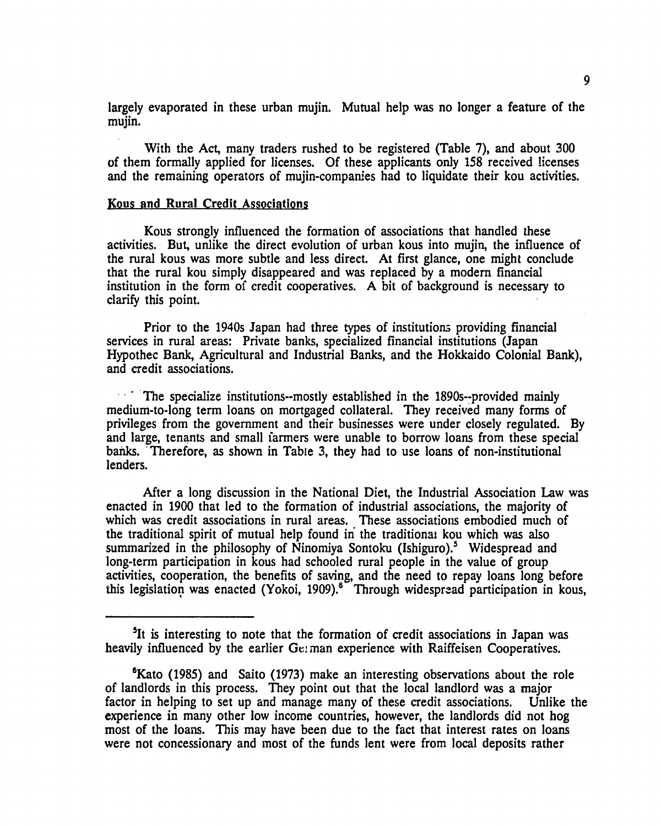largely evaporated in these urban mujin. Mutual help was no longer a feature of the mujin.

With the Act, many traders rushed to be registered (Table **7),** and about **300**  of them formally applied for licenses. **Of** these applicants only **158** received licenses and the remaining operators of mujin-companies **had** to liquidate their kou activities.

#### Kous and Rural Credit Associations

Kous strongly influenced the formation of associations that handled these activities. But, unlike the direct evolution of urban kous into mujin, the influence of the rural kous was more subtle and less direct. At first glance, one might conclude that the rural kou simply disappeared and was replaced **by** a modem financial institution in the form of credit cooperatives. **A** bit of background is necessary to clarify this point.

Prior to the 1940s Japan had three types of institutions providing financial services in rural areas: Private banks, specialized financial institutions (Japan Hypothec Bank, Agricultural and Industrial Banks, and the Hokkaido Colonial Bank), and credit associations.

The specialize institutions--mostly established in the 1890s--provided mainly medium-to-long term loans on mortgaged collateral. They received many forms of privileges from the government and their businesses were under closely regulated. By and large, tenants and small farmers were unable to borrow loans from these special banks. Therefore, as shown in Table 3, they had to use loans of non-institutional lenders.

After a long discussion in the National Diet, the Industrial Association Law was enacted in 1900 that led to the formation of industrial associations, the majority of which was credit associations in rural areas. These associations embodied much of the traditional spirit of mutual help found in'the traditionai kou which was also summarized in the philosophy of Ninomiya Sontoku (Ishiguro).<sup>5</sup> Widespread and long-term participation in kous had schooled rural people in the value of group activities, cooperation, the benefits of saving, and the need to repay loans long before this legislation was enacted (Yokoi, 1909).<sup>6</sup> Through widespread participation in kous,

<sup>&</sup>lt;sup>5</sup>It is interesting to note that the formation of credit associations in Japan was heavily influenced by the earlier Ge:man experience with Raiffeisen Cooperatives.

<sup>&</sup>lt;sup>6</sup>Kato (1985) and Saito (1973) make an interesting observations about the role of landlords in this process. They point out that the local landlord was a major factor in helping to set up and manage many of these credit associations. Unlike the experience in many other low income countries, however, the landlords did not hog most of the loans. This may have been due to the fact that interest rates on loans were not concessionary and most of the funds lent were from local deposits rather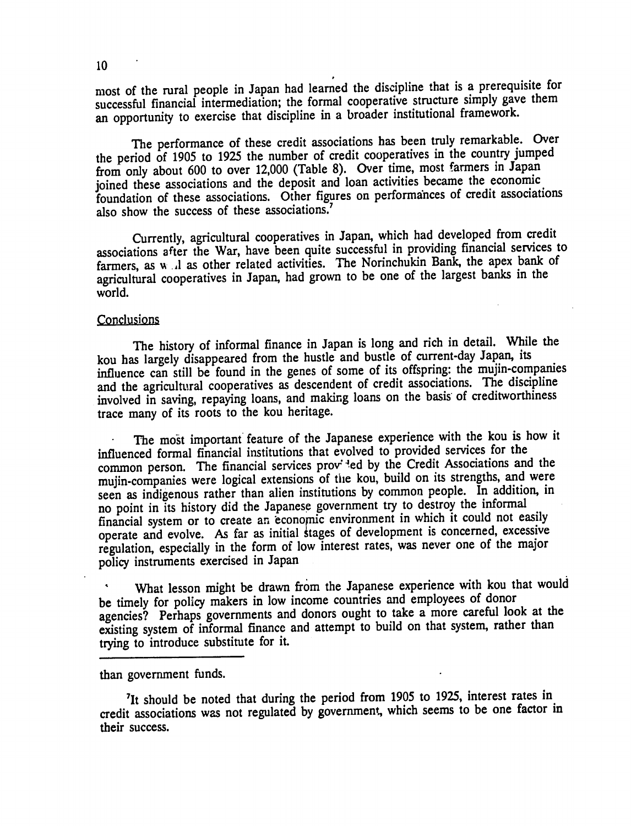most of the rural people in Japan had learned the discipline that is a prerequisite for successful financial intermediation; the formal cooperative structure simply gave them an opportunity to exercise that discipline in a broader institutional framework.

The performance of these credit associations has been truly remarkable. Over the period of 1905 to 1925 the number of credit cooperatives in the country jumped from only about 600 to over 12,000 (Table 8). Over time, most farmers in Japan joined these associations and the deposit and loan activities became the economic foundation of these associations. Other figures on performances of credit associations also show the success of these associations.<sup>7</sup>

Currently, agricultural cooperatives in Japan, which had developed from credit associations after the War, have been quite successful in providing financial services to farmers, as w *..* I as other related activities. The Norinchukin Bank, the apex bank of agricultural cooperatives in Japan, had grown to be one of the largest banks in the world.

#### **Conclusions**

The history of informal finance in Japan is long and rich in detail. While the kou has largely disappeared from the hustle and bustle of current-day Japan, its influence can still be found in the genes of some of its offspring: the mujin-companies and the agricultural cooperatives as descendent of credit associations. The discipline involved in saving, repaying loans, and making loans on the basis of creditworthiness trace many of its roots to the kou heritage.

The most important feature of the Japanese experience with the kou is how it influenced formal financial institutions that evolved to provided services for the common person. The financial services pro" 4ed by the Credit Associations and the mujin-companies were logical extensions of the kou, build on its strengths, and were indigm complete than alien institutions by common people. In addition, in seen as indigenous rather than alien institutions by common people. In addition, in no point in its history did the Japanese government try to destroy the informal financial system or to create an economic environment in which it could not easily operate and evolve. As far as initial stages of development is concerned, excessive regulation, especially in the form of low interest rates, was never one of the major policy instruments exercised in Japan

What lesson might be drawn from the Japanese experience with kou that would be timely for policy makers in low income countries and employees of donor agencies? Perhaps governments and donors ought to take a more careful look at the existing system of informal finance and attempt to build on that system, rather than trying to introduce substitute for it.

than government funds.

<sup>7</sup>It should be noted that during the period from 1905 to 1925, interest rates in credit associations was not regulated by government, which seems to be one factor in their success.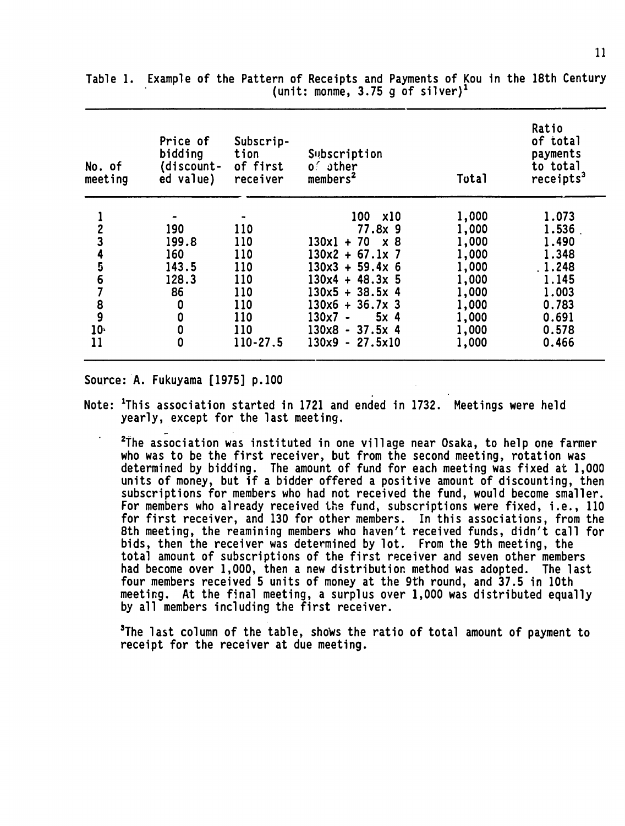| No. of<br>meeting | Price of<br>bidding<br>(discount-<br>ed value) | Subscrip-<br>tion<br>of first<br>receiver | Subscription<br>$0.6$ other<br>members <sup>2</sup> | Total | Ratio<br>of total<br>payments<br>to total<br>receipts <sup>3</sup> |
|-------------------|------------------------------------------------|-------------------------------------------|-----------------------------------------------------|-------|--------------------------------------------------------------------|
|                   |                                                |                                           | 100<br><b>x10</b>                                   | 1,000 | 1.073                                                              |
|                   | 190                                            | 110                                       | $77.8x$ 9                                           | 1,000 | 1.536                                                              |
|                   | 199.8                                          | 110                                       | $130x1 + 70$<br><b>x</b> 8                          | 1,000 | 1.490                                                              |
|                   | 160                                            | 110                                       | $130x2 + 67.1x$ 7                                   | 1,000 | 1.348                                                              |
| 5                 | 143.5                                          | 110                                       | $130x3 + 59.4x 6$                                   | 1,000 | .1.248                                                             |
| 6                 | 128.3                                          | 110                                       | $130x4 + 48.3x$ 5                                   | 1,000 | 1.145                                                              |
|                   | 86                                             | 110                                       | $130x5 + 38.5x$ 4                                   | 1,000 | 1.003                                                              |
|                   | 0                                              | 110                                       | $130x6 + 36.7x$ 3                                   | 1,000 | 0.783                                                              |
| $\frac{8}{9}$     | $\bf{0}$                                       | 110                                       | 5x <sub>4</sub><br>130x7 -                          | 1,000 | 0.691                                                              |
| $10 -$            | $\boldsymbol{0}$                               | 110                                       | $130x8 - 37.5x 4$                                   | 1,000 | 0.578                                                              |
| 11                | 0                                              | 110-27.5                                  | $130x9 - 27.5x10$                                   | 1,000 | 0.466                                                              |

Table **1.** Example of the Pattern of Receipts and Payments of Kou in the 18th Century (unit: monme, **3.75 g** of silver)'

Source: **A.** Fukuyama **[1975] p.100** 

Note: 'This association started in **<sup>1721</sup>**and ended in **1732.** Meetings were held yearly, except for the last meeting.

<sup>2</sup>The association was instituted in one village near Osaka, to help one farmer who was to be the first receiver, but from the second meeting, rotation was determined by bidding. The amount of fund for each meeting was fixed at 1,000 units of money, but if a bidder offered a positive amount of discounting, then subscriptions for members who had not received the fund, would become smaller. For members who already received the fund, subscriptions were fixed, i.e., **110**  for first receiver, and **130** for other members. Inthis associations, from the 8th meeting, the reamining members who haven't received funds, didn't call for bids, then the receiver was determined by lot. From the 9th meeting, the total amount of subscriptions of the first receiver and seven other members had become over 1,000, then a new distribution method was adopted. The last four members received 5 units of money at the 9th round, and **37.5** in 10th meeting. At the final meeting, a surplus over 1,000 was distributed equally by all members including the first receiver.

<sup>3</sup>The last column of the table, shows the ratio of total amount of payment to receipt for the receiver at due meeting.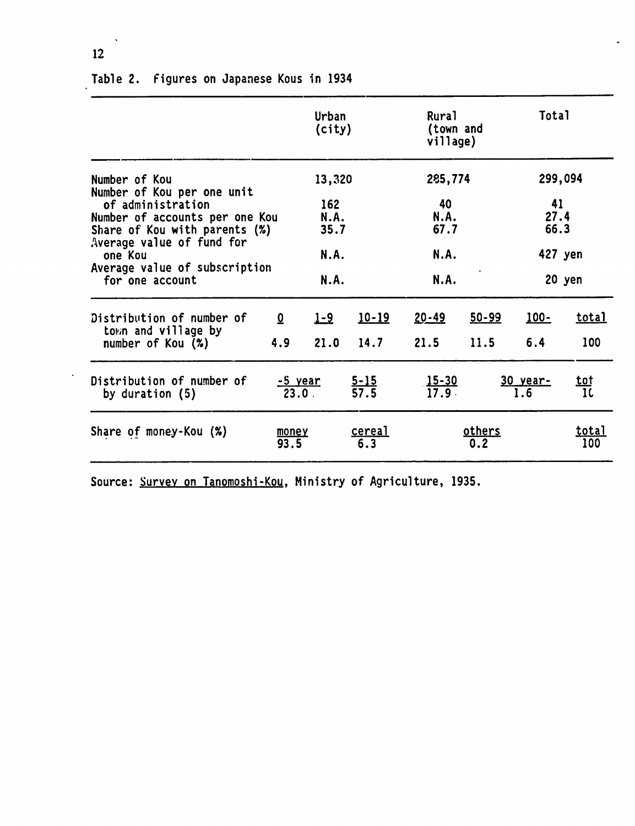|                                                                                                                                                                                                              |                                | Urban<br>(city)                              |                      | Rural<br>village)                     | (town and         | Total                                    |                     |
|--------------------------------------------------------------------------------------------------------------------------------------------------------------------------------------------------------------|--------------------------------|----------------------------------------------|----------------------|---------------------------------------|-------------------|------------------------------------------|---------------------|
| Number of Kou<br>Number of Kou per one unit<br>of administration<br>Number of accounts per one Kou<br>Share of Kou with parents (%)<br>Average value of fund for<br>one Kou<br>Average value of subscription |                                | 13,320<br>162<br><b>N.A.</b><br>35.7<br>N.A. |                      | 285,774<br>40<br>N.A.<br>67.7<br>N.A. |                   | 299,094<br>41<br>27.4<br>66.3<br>427 yen |                     |
| for one account                                                                                                                                                                                              |                                | <b>N.A.</b>                                  |                      | N.A.                                  |                   |                                          | 20 yen              |
| Distribution of number of<br>town and village by<br>number of Kou (%)                                                                                                                                        | $\overline{\mathbf{0}}$<br>4.9 | <u>1-9</u><br>21.0                           | $10 - 19$<br>14.7    | 20-49<br>21.5                         | $50 - 99$<br>11.5 | <u> 100-</u><br>6.4                      | <u>total</u><br>100 |
| Distribution of number of<br>by duration $(5)$                                                                                                                                                               |                                | <u>-5 year</u><br>$23.0$ .                   | $\frac{5-15}{57.5}$  | $\frac{15-30}{17.9}$                  |                   | 30 year-<br>1.6                          | <u>tot</u><br>10    |
| Share of money-Kou (%)                                                                                                                                                                                       | money<br>93.5                  |                                              | <u>cereal</u><br>6.3 |                                       | others<br>0.2     |                                          | <u>total</u><br>100 |

# Table 2. Figures on Japanese Kous in 1934

Source: Survey on Tanomoshi-Kou, Ministry of Agriculture, **1935.** 

12

 $\bullet$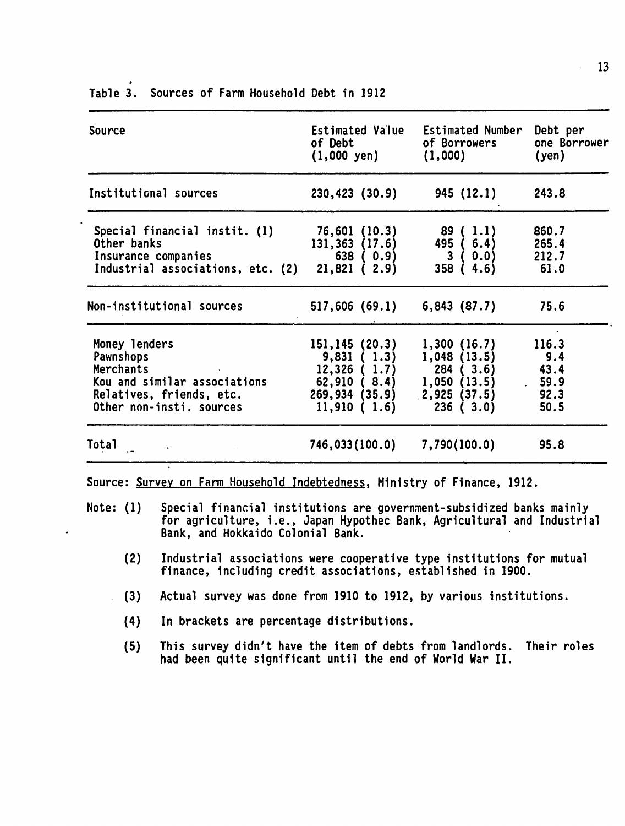| <b>Source</b>                                                                                                                             | Estimated Value<br>of Debt and the state of the state of the state of the state of the state of the state of the state of the state of the state of the state of the state of the state of the state of the state of the state of the state of th<br>$(1,000 \text{ yen})$ | <b>Estimated Number</b><br>of Borrowers<br>(1,000) | Debt per<br>one Borrower<br>(yen)              |
|-------------------------------------------------------------------------------------------------------------------------------------------|----------------------------------------------------------------------------------------------------------------------------------------------------------------------------------------------------------------------------------------------------------------------------|----------------------------------------------------|------------------------------------------------|
| Institutional sources                                                                                                                     | $230,423$ $(30.9)$ 945 $(12.1)$                                                                                                                                                                                                                                            |                                                    | 243.8                                          |
| Special financial instit. (1) 76,601 (10.3)<br>Other banks<br>Insurance companies<br>Industrial associations, etc. $(2)$ $21,821$ $(2.9)$ | 131,363 (17.6) 495 (6.4)<br>638 ( 0.9)                                                                                                                                                                                                                                     | 89 ( 1.1)<br>3(0.0)<br>358(4.6)                    | 860.7<br>265.4<br>212.7<br>61.0                |
| Non-institutional sources                                                                                                                 | $517,606$ (69.1) 6,843 (87.7)                                                                                                                                                                                                                                              |                                                    | 75.6                                           |
| Money lenders<br>Pawnshops<br>Merchants<br>Kou and similar associations<br>Relatives, friends, etc.<br>Other non-insti. sources           | 151,145 (20.3)<br>9,831(1.3)<br>$12,326$ ( $1.7$ ) 284 ( $3.6$ )<br>62,910 (8.4) 1,050 (13.5)<br>$269,934$ $(35.9)$ $2,925$ $(37.5)$<br>11,910(1.6)                                                                                                                        | 1,300(16.7)<br>1,048(13.5)<br>236 (3.0)            | 116.3<br>9.4<br>43.4<br>. 59.9<br>92.3<br>50.5 |
| Total                                                                                                                                     | 746,033(100.0) 7,790(100.0)                                                                                                                                                                                                                                                |                                                    | 95.8                                           |

Table **3.** Sources of Farm Household Debt in**1912** 

- for agriculture, i.e., Japan Hypothec Bank, Agricultural and Industrial Bank, and Hokkaido Colonial Bank.
	- (2) Industrial associations were cooperative type institutions for mutual finance, including credit associations, established in **1900.**
	- **(3)** Actual survey was done from **1910** to 1912, **by** various institutions.
		- (4) Inbrackets are percentage distributions.
		- **(5)** This survey didn't have the item of debts from landlords. Their roles had been quite significant until the end of World War II.

 $\bar{z}$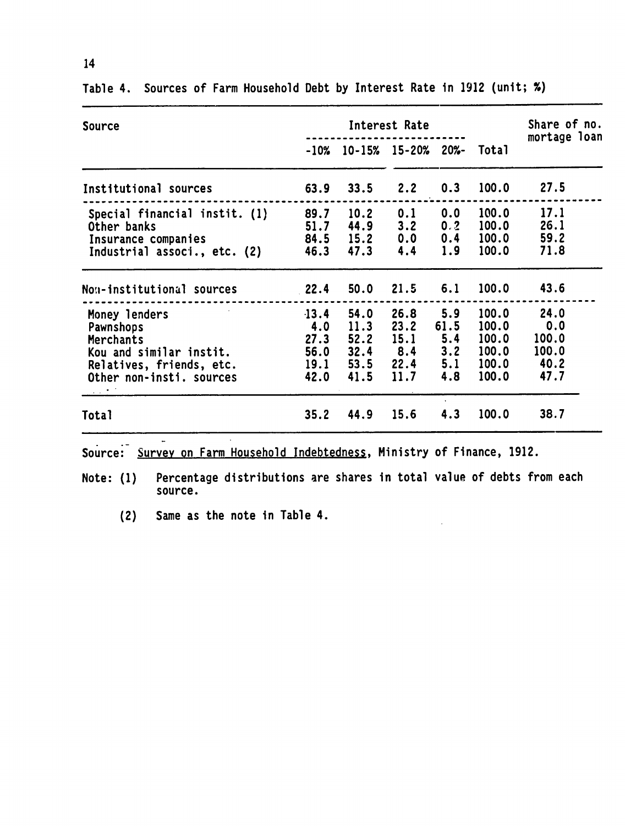| Source                                                                                                                            | Interest Rate                                  |                                |                                                                     |                                  |                                                    | Share of no.                                  |
|-----------------------------------------------------------------------------------------------------------------------------------|------------------------------------------------|--------------------------------|---------------------------------------------------------------------|----------------------------------|----------------------------------------------------|-----------------------------------------------|
|                                                                                                                                   |                                                | <br>$-10\%$ 10-15% 15-20% 20%- |                                                                     |                                  | Total                                              | mortage loan                                  |
| Institutional sources                                                                                                             | 63.9                                           | 33.5                           | 2.2                                                                 | 0.3                              | 100.0                                              | 27.5                                          |
| Special financial instit. (1)<br>Other banks<br>Insurance companies<br>Industrial associ., etc. (2)                               | 89.7<br>51.7<br>84.5<br>46.3                   | 10.2<br>44.9<br>15.2<br>47.3   | 0.1<br>3.2<br>$0.0\qquad 0.4$<br>4.4                                | 0.0<br>0.2<br>1.9                | 100.0<br>100.0<br>100.0<br>100.0                   | 17.1<br>26.1<br>59.2<br>71.8                  |
| Non-institutional sources                                                                                                         | 22.4                                           | 50.0                           | $21.5$ 6.1                                                          |                                  | 100.0                                              | 43.6                                          |
| Money lenders<br>Pawnshops<br><b>Merchants</b><br>Kou and similar instit.<br>Relatives, friends, etc.<br>Other non-insti. sources | $-13.4$<br>4.0<br>27.3<br>56.0<br>19.1<br>42.0 | 54.0<br>11.3<br>52.2<br>41.5   | 26.8<br>23.2<br>15.1<br>$32.4$ $8.4$ $3.2$<br>$53.5$ $22.4$<br>11.7 | 5.9<br>61.5<br>5.4<br>5.1<br>4.8 | 100.0<br>100.0<br>100.0<br>100.0<br>100.0<br>100.0 | 24.0<br>0.0<br>100.0<br>100.0<br>40.2<br>47.7 |
| Total                                                                                                                             | 35.2                                           | 44.9                           | 15.6                                                                | 4.3                              | 100.0                                              | 38.7                                          |

Table 4. Sources of Farm Household Debt by Interest Rate in **<sup>1912</sup>**(unit; **%)** 

Source: Survey on Farm Household Indebtedness, Ministry of Finance, 1912.

Note: **(1)** Percentage distributions are shares in total value of debts from each source.

 $\hat{\mathcal{A}}$ 

(2) Same as the note in Table 4.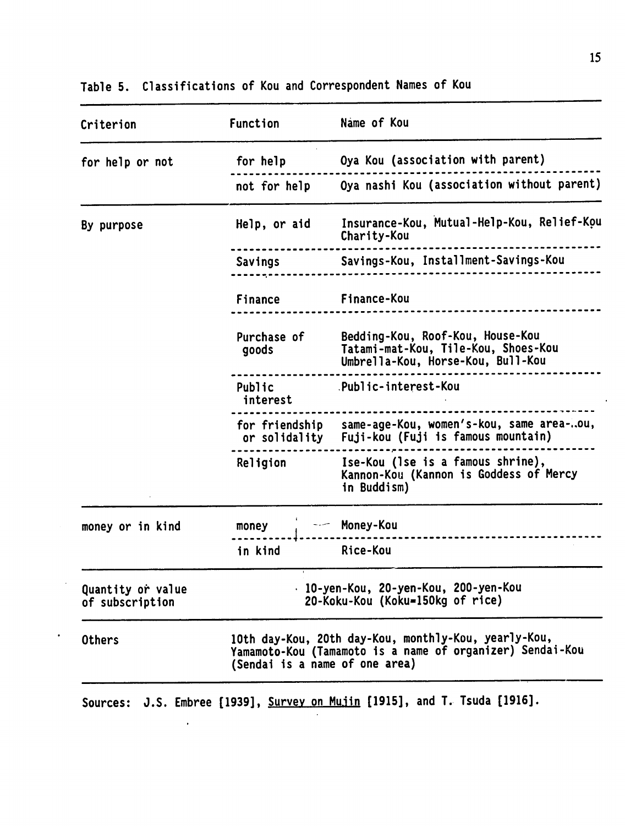| Criterion                                                                                                                                                            | Function             | Name of Kou                                                                                                  |  |
|----------------------------------------------------------------------------------------------------------------------------------------------------------------------|----------------------|--------------------------------------------------------------------------------------------------------------|--|
| for help or not                                                                                                                                                      | for help             | Oya Kou (association with parent)                                                                            |  |
|                                                                                                                                                                      | not for help         | Oya nashi Kou (association without parent)                                                                   |  |
| By purpose                                                                                                                                                           | Help, or aid         | Insurance-Kou, Mutual-Help-Kou, Relief-Kou<br>Charity-Kou                                                    |  |
|                                                                                                                                                                      | Savings              | Savings-Kou, Installment-Savings-Kou                                                                         |  |
|                                                                                                                                                                      | Finance              | Finance-Kou                                                                                                  |  |
|                                                                                                                                                                      | Purchase of<br>goods | Bedding-Kou, Roof-Kou, House-Kou<br>Tatami-mat-Kou, Tile-Kou, Shoes-Kou<br>Umbrella-Kou, Horse-Kou, Bull-Kou |  |
|                                                                                                                                                                      | Public<br>interest   | .Public-interest-Kou                                                                                         |  |
|                                                                                                                                                                      |                      | for friendship same-age-Kou, women's-kou, same area-ou,<br>or solidality Fuji-kou (Fuji is famous mountain)  |  |
|                                                                                                                                                                      | Religion             | Ise-Kou (Ise is a famous shrine),<br>Kannon-Kou (Kannon is Goddess of Mercy<br>in Buddism)                   |  |
| money or in kind                                                                                                                                                     | money                | Money-Kou                                                                                                    |  |
|                                                                                                                                                                      | in kind              | Rice-Kou                                                                                                     |  |
| Quantity or value<br>of subscription                                                                                                                                 |                      | · 10-yen-Kou, 20-yen-Kou, 200-yen-Kou<br>20-Koku-Kou (Koku=150kg of rice)                                    |  |
| 10th day-Kou, 20th day-Kou, monthly-Kou, yearly-Kou,<br><b>Others</b><br>Yamamoto-Kou (Tamamoto is a name of organizer) Sendai-Kou<br>(Sendai is a name of one area) |                      |                                                                                                              |  |

Table **5.** Classifications of Kou and Correspondent Names of Kou

Sources: J.S. Embree [1939], Survey on Mujin [1915], and T. Tsuda [1916].

 $\langle \rangle$ 

 $\hat{\boldsymbol{\epsilon}}$ 

 $\ddot{\phantom{a}}$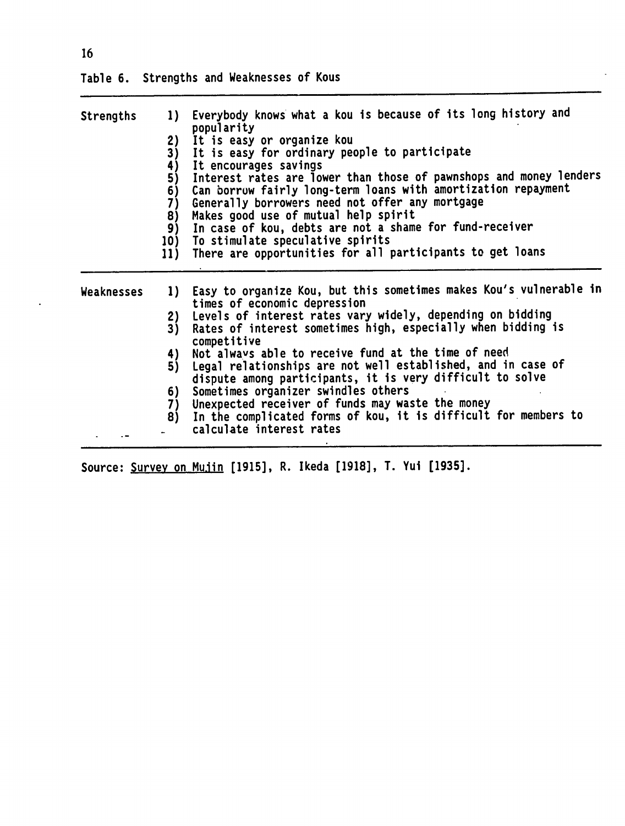| popularity<br>It is easy or organize kou<br>2)<br>3)<br>It is easy for ordinary people to participate |
|-------------------------------------------------------------------------------------------------------|
|                                                                                                       |
|                                                                                                       |
|                                                                                                       |
| It encourages savings<br>4)                                                                           |
| Interest rates are lower than those of pawnshops and money lenders<br>5)                              |
| Can borrow fairly long-term loans with amortization repayment<br>6)                                   |
| Generally borrowers need not offer any mortgage<br>7)                                                 |
| Makes good use of mutual help spirit<br>8)                                                            |
| In case of kou, debts are not a shame for fund-receiver<br>9)                                         |
| To stimulate speculative spirits<br>10)                                                               |
| There are opportunities for all participants to get loans<br>11)                                      |
|                                                                                                       |
| Easy to organize Kou, but this sometimes makes Kou's vulnerable in<br>1)                              |
| times of economic depression                                                                          |
| Levels of interest rates vary widely, depending on bidding<br>2)                                      |
| Rates of interest sometimes high, especially when bidding is<br>3)<br>competitive                     |
| Not always able to receive fund at the time of need<br>4)                                             |
| Legal relationships are not well established, and in case of<br>5)                                    |
| dispute among participants, it is very difficult to solve                                             |
| Sometimes organizer swindles others                                                                   |
| 6)<br>Unexpected receiver of funds may waste the money                                                |
| 7)                                                                                                    |
| In the complicated forms of kou, it is difficult for members to<br>8)                                 |
| calculate interest rates                                                                              |
|                                                                                                       |

Source: Survey on Mujin [1915], R. Ikeda [1918], T. Yui [1935].

 $\bar{\star}$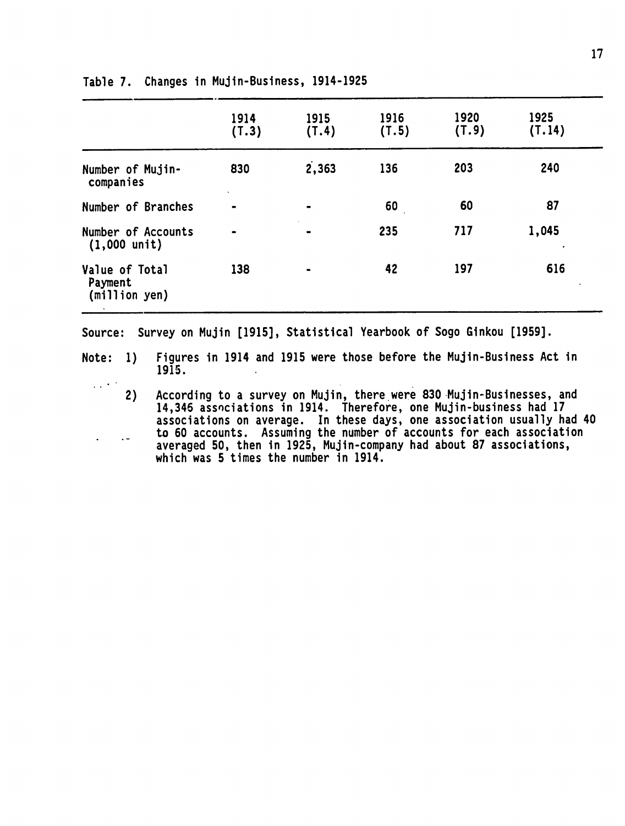|                                              | 1914<br>(T.3)               | 1915<br>(T.4)                | 1916<br>(T.5) | 1920<br>(T.9) | 1925<br>(T.14) |  |
|----------------------------------------------|-----------------------------|------------------------------|---------------|---------------|----------------|--|
| Number of Mujin-<br>companies                | 830<br>$\ddot{\phantom{1}}$ | 2,363                        | 136           | 203           | 240            |  |
| Number of Branches                           |                             | $\qquad \qquad \blacksquare$ | 60            | 60            | 87             |  |
| Number of Accounts<br>$(1,000 \text{ unit})$ |                             | $\blacksquare$               | 235           | 717           | 1,045          |  |
| Value of Total<br>Payment<br>(million yen)   | 138                         | $\bullet$                    | 42            | 197           | 616            |  |

#### Table **7.** Changes in Mujin-Business, 1914-1925

Source: Survey on Mujin **[1915],** Statistical Yearbook of Sogo Ginkou **[1959].** 

 $\mathcal{L}(\mathcal{L}^{(k)})$ 

Note: **1)** Figures in 1914 and **1915** were those before the Mujin-Business Act in 1915.

2) According to a survey on Mujin, there were 830 Mujin-Businesses, and 14,346 assnciations in 1914. Therefore, one Mujin-business had **17**  associations on average. In these days, one association usually had 40 to 60 accounts. Assuming the number of accounts for each association  $\sim$   $$ averaged **50,** then in 1925, Mujin-company had about **87** associations, which was 5 times the number in 1914.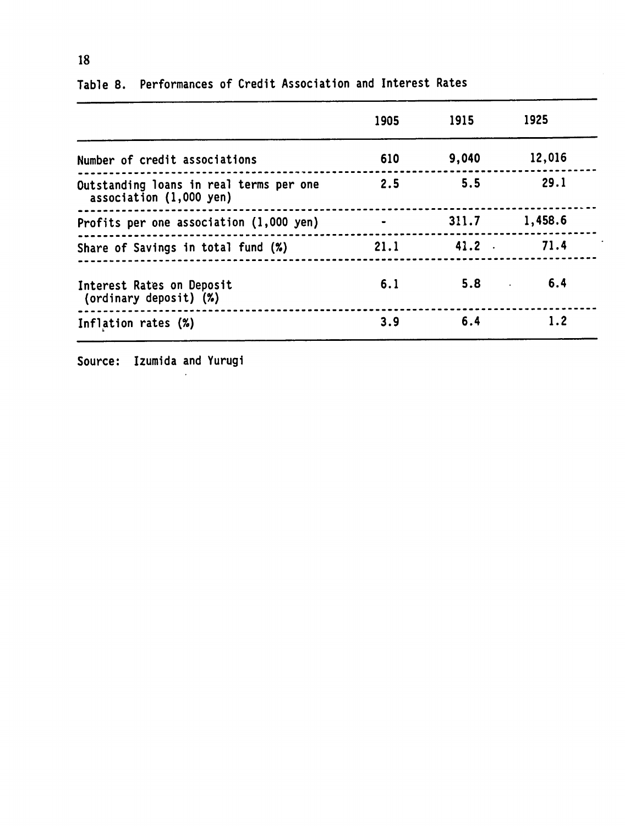|                                                                    | 1905 | 1915  | 1925    |
|--------------------------------------------------------------------|------|-------|---------|
| Number of credit associations                                      | 610  | 9,040 | 12,016  |
| Outstanding loans in real terms per one<br>association (1,000 yen) | 2.5  | 5.5   | 29.1    |
| Profits per one association (1,000 yen)                            |      | 311.7 | 1,458.6 |
| Share of Savings in total fund (%)                                 | 21.1 | 41.2  | 71.4    |
| Interest Rates on Deposit<br>(ordinary deposit) (%)                | 6.1  | 5.8   | 6.4     |
| Inflation rates (%)                                                | 3.9  | 6.4   | 1.2     |

Table **8.** Performances of Credit Association and Interest Rates

Source: Izumida and Yurugi

**18**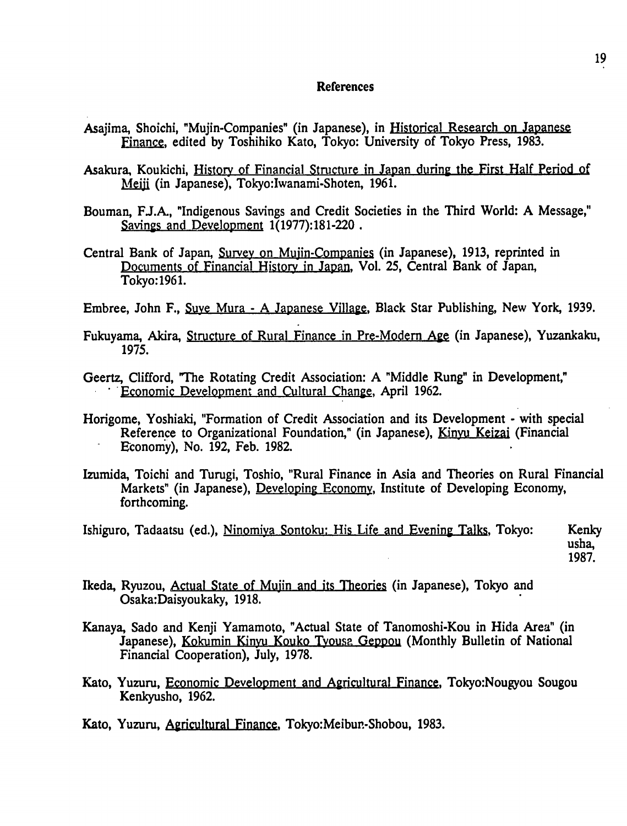### References

- Asajima, Shoichi, "Mujin-Companies" (in Japanese), in Historical Research on Japanese Finance, edited **by** Toshihiko Kato, Tokyo: University of Tokyo Press, **1983.**
- Asakura, Koukichi, History of Financial Structure in Japan during the First Half Period ot Meji (in Japanese), Tokyo:Iwanami-Shoten, 1961.
- Bouman, F.J.A., "Indigenous Savings and Credit Societies in the Third World: A Message," Savings and Development 1(1977):181-220.
- Central Bank of Japan, Survey on Muiin-Companies (in Japanese), 1913, reprinted in Documents of Financial History in Japan. Vol. **25,** Central Bank of Japan, Tokyo:1961.
- Embree, John F., Suye Mura A Japanese Village, Black Star Publishing, New York, 1939.
- Fukuyama, Akira, Structure of Rural Finance in Pre-Modern Age (in Japanese), Yuzankaku, 1975.
- Geertz, Clifford, 'The Rotating Credit Association: A "Middle Rung" in Development," Economic Development and Cultural Change, April 1962.
- Horigome, Yoshiaki, "Formation of Credit Association and its Development with special Reference to Organizational Foundation," (in Japanese), Kinyu Keizai (Financial Economy), No. 192, Feb. 1982.
- Izumida, Toichi and Turugi, Toshio, "Rural Finance in Asia and Theories on Rural Financial Markets" (in Japanese), Developing Economy, Institute of Developing Economy, forthcoming.
- Ishiguro, Tadaatsu (ed.), Ninomiya Sontoku: His Life and Evening Talks, Tokyo: Kenky usha, **1987.**
- Ikeda, Ryuzou, Actual State of Mujin and its Theories (in Japanese), Tokyo and Osaka:Daisyoukaky, 1918.
- Kanaya, Sado and Kenji Yamamoto, "Actual State of Tanomoshi-Kou in Hida Area" (in Japanese), Kokumin Kinyu Kouko Tyousa Geppou (Monthly Bulletin of National Financial Cooperation), July, 1978.
- Kato, Yuzuru, Economic Development and Agricultural Finance, Tokyo:Nougyou Sougou Kenkyusho, 1962.
- Kato, Yuzuru, Agricultural Finance, Tokyo:Meibun-Shobou, **1983.**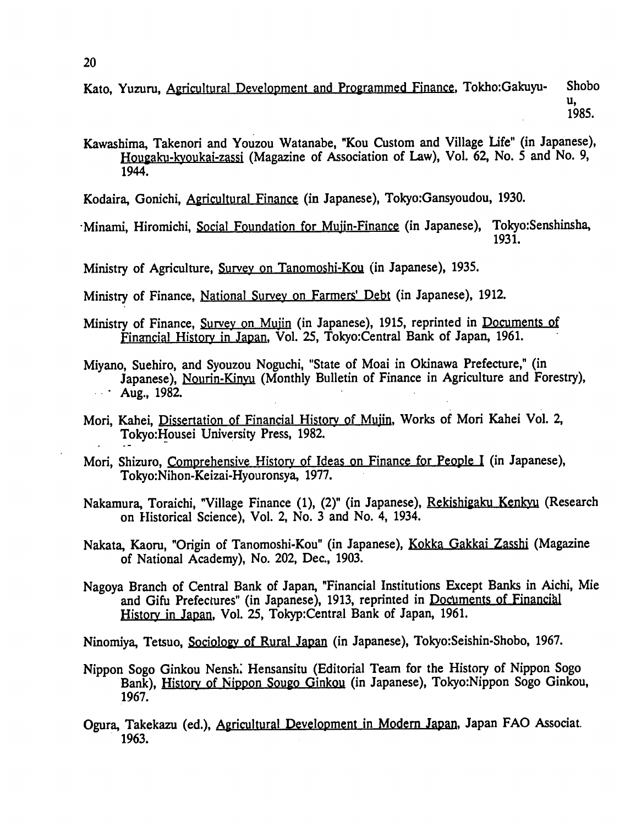Kato, Yuzuru, Agricultural Development and Programmed Finance, Tokho:Gakuyu- Shobo **U,**  1985.

Kawashima, Takenori and Youzou Watanabe, "Kou Custom and Village Life" (in Japanese), Hougaku-kyoukai-zassi (Magazine of Association of Law), Vol. 62, No. 5 and No. 9, 1944.

Kodaira, Gonichi, Agricultural Finance (in Japanese), Tokyo:Gansyoudou, 1930.

·Minami, Hiromichi, Social Foundation for Mujin-Finance (in Japanese), Tokyo:Senshinsha, 1931.

Ministry of Agriculture, Survey on Tanomoshi-Kou (in Japanese), 1935.

- Ministry of Finance, National Survey on Farmers' Debt (in Japanese), 1912.
- Ministry of Finance, Survey on Mujin (in Japanese), 1915, reprinted in Documents of Financial History in Japan, Vol. 25, Tokyo: Central Bank of Japan, 1961.
- Miyano, Suehiro, and Syouzou Noguchi, "State of Moai in Okinawa Prefecture," (in Japanese), Nourin-Kinyu (Monthly Bulletin of Finance in Agriculture and Forestry),  $\therefore$  Aug., 1982.
- Mori, Kahei, Dissertation of Financial History of Mujin, Works of Mori Kahei Vol. 2, Tokyo:Housei University Press, 1982.
- Mori, Shizuro, Comprehensive History of Ideas on Finance for People I (in Japanese), Tokyo:Nihon-Keizai-Hyouronsya, 1977.
- Nakamura, Toraichi, "Village Finance (1), (2)" (in Japanese), Rekishigaku Kenkyu (Research on Historical Science), Vol. 2, No. 3 and No. 4, 1934.
- Nakata, Kaoru, "Origin of Tanomoshi-Kou" (in Japanese), Kokka Gakkai Zasshi (Magazine of National Academy), No. 202, Dec., 1903.
- Nagoya Branch of Central Bank of Japan, "Financial Institutions Except Banks in Aichi, Mie and Gifu Prefectures" (in Japanese), 1913, reprinted in Documents of Financihl History in Japan, Vol. 25, Tokyp:Central Bank of Japan, 1961.

Ninomiya, Tetsuo, Sociology of Rural Japan (in Japanese), Tokyo:Seishin-Shobo, 1967.

- Nippon Sogo Ginkou Nenshi Hensansitu (Editorial Team for the History of Nippon Sogo Bank), History of Nippon Sougo Ginkou (in Japanese), Tokyo:Nippon Sogo Ginkou, 1967.
- Ogura, Takekazu (ed.), Agricultural Development in Modem Japan, Japan **FAO** Associat. 1963.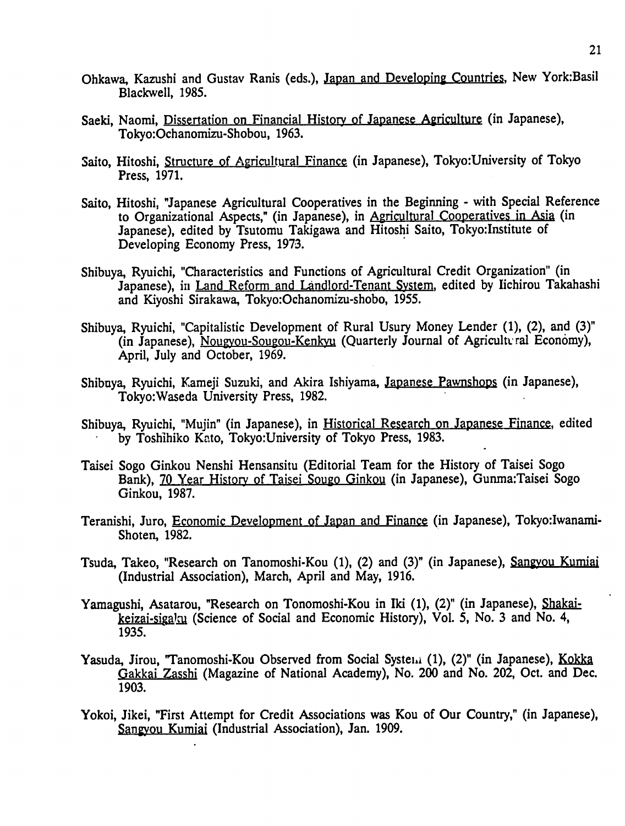- Ohkawa, Kazushi and Gustav Ranis (eds.), Japan and Developing Countries, New York:Basil Blackwell, 1985.
- Saeki, Naomi, Dissertation on Financial History of Japanese Agriculture (in Japanese), Tokyo:Ochanomizu-Shobou, 1963.
- Saito, Hitoshi, Structure of Agricultural Finance (in Japanese), Tokyo:University of Tokyo Press, 1971.
- Saito, Hitoshi, "Japanese Agricultural Cooperatives in the Beginning with Special Reference to Organizational Aspects," (in Japanese), in Agricultural Cooperatives in Asia (in Japanese), edited by Tsutomu Takigawa and Hitoshi Saito, Tokyo:Institute of Developing Economy Press, **1973.**
- Shibuya, Ryuichi, "Characteristics and Functions of Agricultural Credit Organization" (in Japanese), in Land Reform and Landlord-Tenant System, edited by Iichirou Takahashi and Kiyoshi Sirakawa, Tokyo:Ochanomizu-shobo, 1955.
- Shibuya, Ryuichi, "Capitalistic Development of Rural Usury Money Lender (1), (2), and (3)" (in Japanese), Nougyou-Sougou-Kenkyu (Quarterly Journal of Agricult.ral Economy), April, July and October, 1969.
- Shibuya, Ryuichi, Kameji Suzuki, and Akira Ishiyama, Japanese Pawnshops (in Japanese), Tokyo:Waseda University Press, 1982.
- Shibuya, Ryuichi, "Mujin" (in Japanese), in Historical Research on Japanese Finance, edited by Toshihiko Kato, Tokyo:University of Tokyo Press, 1983.
- Taisei Sogo Ginkou Nenshi Hensansitu (Editorial Team for the History of Taisei Sogo Bank), 70 Year History of Taisei Sougo Ginkou (in Japanese), Gunma:Taisei Sogo Ginkou, 1987.
- Teranishi, Juro, Economic Development of Japan and Finance (in Japanese), Tokyo:Iwanami-Shoten, 1982.
- Tsuda, Takeo, "Research on Tanomoshi-Kou (1), (2) and (3)" (in Japanese), Sangyou Kumiai (Industrial Association), March, April and May, 1916.
- Yamagushi, Asatarou, "Research on Tonomoshi-Kou in Iki (1), (2)" (in Japanese), Shakaikeizai-sigaku (Science of Social and Economic History), Vol. 5, No. 3 and No. 4, 1935.
- Yasuda, Jirou, "Tanomoshi-Kou Observed from Social Systemi (1), (2)" (in Japanese), Kokka Gakkai Zasshi (Magazine of National Academy), No. 200 and No. 202, Oct. and Dec. 1903.
- Yokoi, Jikei, "First Attempt for Credit Associations was Kou of Our Country," (in Japanese), Sangyou Kumiai (Industrial Association), Jan. 1909.